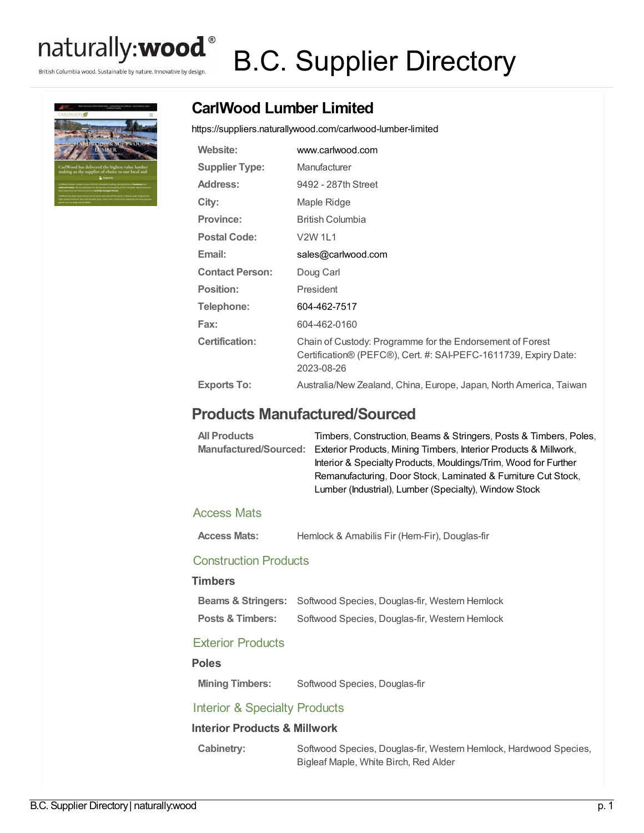

British Columbia wood. Sustainable by nature. Innovative by design.

# B.C. Supplier Directory



# **CarlWood Lumber Limited**

<https://suppliers.naturallywood.com/carlwood-lumber-limited>

| <b>Website:</b>        | www.carlwood.com                                                                                                                           |
|------------------------|--------------------------------------------------------------------------------------------------------------------------------------------|
| <b>Supplier Type:</b>  | Manufacturer                                                                                                                               |
| <b>Address:</b>        | 9492 - 287th Street                                                                                                                        |
| City:                  | Maple Ridge                                                                                                                                |
| <b>Province:</b>       | <b>British Columbia</b>                                                                                                                    |
| Postal Code:           | <b>V2W 1L1</b>                                                                                                                             |
| Email:                 | sales@carlwood.com                                                                                                                         |
| <b>Contact Person:</b> | Doug Carl                                                                                                                                  |
| <b>Position:</b>       | President                                                                                                                                  |
| Telephone:             | 604-462-7517                                                                                                                               |
| <b>Fax:</b>            | 604-462-0160                                                                                                                               |
| <b>Certification:</b>  | Chain of Custody: Programme for the Endorsement of Forest<br>Certification® (PEFC®), Cert. #: SAI-PEFC-1611739, Expiry Date:<br>2023-08-26 |
| <b>Exports To:</b>     | Australia/New Zealand, China, Europe, Japan, North America, Taiwan                                                                         |

# **Products Manufactured/Sourced**

**All Products Manufactured/Sourced:** [Timbers](https://suppliers.naturallywood.com/en/list?q=objectType%253a%2522Timbers%2522&p=1&ps=&sort=title+asc), [Construction](https://suppliers.naturallywood.com/en/list?q=objectType%253a%2522Construction%2522&p=1&ps=&sort=title+asc), Beams & [Stringers](https://suppliers.naturallywood.com/en/list?q=objectType%253a%2522Beams+%2526+Stringers%2522&p=1&ps=&sort=title+asc), Posts & [Timbers](https://suppliers.naturallywood.com/en/list?q=objectType%253a%2522Posts+%2526+Timbers%2522&p=1&ps=&sort=title+asc), [Poles](https://suppliers.naturallywood.com/en/list?q=objectType%253a%2522Poles%2522&p=1&ps=&sort=title+asc), Exterior [Products](https://suppliers.naturallywood.com/en/list?q=objectType%253a%2522Exterior+Products%2522&p=1&ps=&sort=title+asc), Mining [Timbers](https://suppliers.naturallywood.com/en/list?q=objectType%253a%2522Mining+Timbers%2522&p=1&ps=&sort=title+asc), Interior [Products](https://suppliers.naturallywood.com/en/list?q=objectType%253a%2522Interior+Products+%2526+Millwork%2522&p=1&ps=&sort=title+asc) & Millwork, Interior & [Specialty](https://suppliers.naturallywood.com/en/list?q=objectType%253a%2522Interior+%2526+Specialty+Products%2522&p=1&ps=&sort=title+asc) Products, [Mouldings/Trim,](https://suppliers.naturallywood.com/en/list?q=objectType%253a%2522Wood+for+Further+Remanufacturing%2522&p=1&ps=&sort=title+asc) Wood for Further Remanufacturing, Door [Stock,](https://suppliers.naturallywood.com/en/list?q=objectType%253a%2522Door+Stock%2522&p=1&ps=&sort=title+asc) [Laminated](https://suppliers.naturallywood.com/en/list?q=objectType%253a%2522Laminated+%2526+Furniture+Cut+Stock%2522&p=1&ps=&sort=title+asc) & Furniture Cut Stock, Lumber [\(Industrial\)](https://suppliers.naturallywood.com/en/list?q=objectType%253a%2522Lumber+(Industrial)%2522&p=1&ps=&sort=title+asc), Lumber [\(Specialty\)](https://suppliers.naturallywood.com/en/list?q=objectType%253a%2522Lumber+(Specialty)%2522&p=1&ps=&sort=title+asc), [Window](https://suppliers.naturallywood.com/en/list?q=objectType%253a%2522Window+Stock%2522&p=1&ps=&sort=title+asc) Stock

## Access Mats

**Access Mats:** Hemlock & Amabilis Fir (Hem-Fir), Douglas-fir

### Construction Products

#### **Timbers**

|                  | <b>Beams &amp; Stringers:</b> Softwood Species, Douglas-fir, Western Hemlock |
|------------------|------------------------------------------------------------------------------|
| Posts & Timbers: | Softwood Species, Douglas-fir, Western Hemlock                               |

## Exterior Products

#### **Poles**

**Mining Timbers:** Softwood Species, Douglas-fir

## Interior & Specialty Products

#### **Interior Products & Millwork**

Cabinetry: Softwood Species, Douglas-fir, Western Hemlock, Hardwood Species, Bigleaf Maple, White Birch, Red Alder